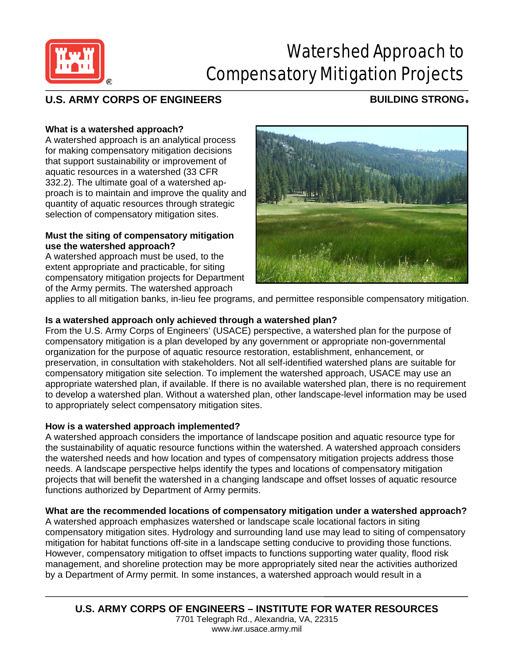

# Watershed Approach to Compensatory Mitigation Projects

## **U.S. ARMY CORPS OF ENGINEERS BUILDING STRONG** ®

#### **What is a watershed approach?**

A watershed approach is an analytical process for making compensatory mitigation decisions that support sustainability or improvement of aquatic resources in a watershed (33 CFR 332.2). The ultimate goal of a watershed approach is to maintain and improve the quality and quantity of aquatic resources through strategic selection of compensatory mitigation sites.

#### **Must the siting of compensatory mitigation use the watershed approach?**

A watershed approach must be used, to the extent appropriate and practicable, for siting compensatory mitigation projects for Department of the Army permits. The watershed approach



applies to all mitigation banks, in-lieu fee programs, and permittee responsible compensatory mitigation.

#### **Is a watershed approach only achieved through a watershed plan?**

From the U.S. Army Corps of Engineers' (USACE) perspective, a watershed plan for the purpose of compensatory mitigation is a plan developed by any government or appropriate non-governmental organization for the purpose of aquatic resource restoration, establishment, enhancement, or preservation, in consultation with stakeholders. Not all self-identified watershed plans are suitable for compensatory mitigation site selection. To implement the watershed approach, USACE may use an appropriate watershed plan, if available. If there is no available watershed plan, there is no requirement to develop a watershed plan. Without a watershed plan, other landscape-level information may be used to appropriately select compensatory mitigation sites.

#### **How is a watershed approach implemented?**

A watershed approach considers the importance of landscape position and aquatic resource type for the sustainability of aquatic resource functions within the watershed. A watershed approach considers the watershed needs and how location and types of compensatory mitigation projects address those needs. A landscape perspective helps identify the types and locations of compensatory mitigation projects that will benefit the watershed in a changing landscape and offset losses of aquatic resource functions authorized by Department of Army permits.

### **What are the recommended locations of compensatory mitigation under a watershed approach?**

A watershed approach emphasizes watershed or landscape scale locational factors in siting compensatory mitigation sites. Hydrology and surrounding land use may lead to siting of compensatory mitigation for habitat functions off-site in a landscape setting conducive to providing those functions. However, compensatory mitigation to offset impacts to functions supporting water quality, flood risk management, and shoreline protection may be more appropriately sited near the activities authorized by a Department of Army permit. In some instances, a watershed approach would result in a

**U.S. ARMY CORPS OF ENGINEERS – INSTITUTE FOR WATER RESOURCES** 7701 Telegraph Rd., Alexandria, VA, 22315 www.iwr.usace.army.mil